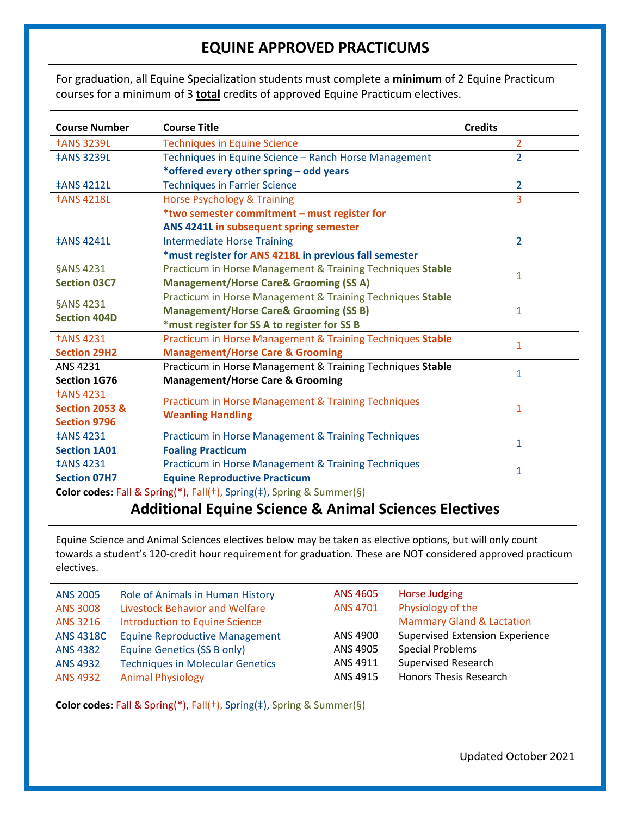## **EQUINE APPROVED PRACTICUMS**

For graduation, all Equine Specialization students must complete a **minimum** of 2 Equine Practicum courses for a minimum of 3 **total** credits of approved Equine Practicum electives.

| <b>Course Number</b>           | <b>Course Title</b><br><b>Credits</b>                          |                |  |  |
|--------------------------------|----------------------------------------------------------------|----------------|--|--|
| <b>†ANS 3239L</b>              | <b>Techniques in Equine Science</b>                            | 2              |  |  |
| <b>‡ANS 3239L</b>              | Techniques in Equine Science - Ranch Horse Management          | $\overline{2}$ |  |  |
|                                | *offered every other spring - odd years                        |                |  |  |
| <b>‡ANS 4212L</b>              | <b>Techniques in Farrier Science</b>                           | $\overline{2}$ |  |  |
| <b>†ANS 4218L</b>              | <b>Horse Psychology &amp; Training</b>                         |                |  |  |
|                                | *two semester commitment - must register for                   |                |  |  |
|                                | ANS 4241L in subsequent spring semester                        |                |  |  |
| <b>‡ANS 4241L</b>              | <b>Intermediate Horse Training</b>                             | $\overline{2}$ |  |  |
|                                | *must register for ANS 4218L in previous fall semester         |                |  |  |
| §ANS 4231                      | Practicum in Horse Management & Training Techniques Stable     | $\mathbf{1}$   |  |  |
| <b>Section 03C7</b>            | <b>Management/Horse Care&amp; Grooming (SS A)</b>              |                |  |  |
|                                | Practicum in Horse Management & Training Techniques Stable     |                |  |  |
| §ANS 4231                      | <b>Management/Horse Care&amp; Grooming (SS B)</b>              |                |  |  |
| <b>Section 404D</b>            | *must register for SS A to register for SS B                   |                |  |  |
| <b><i><u>TANS 4231</u></i></b> | Practicum in Horse Management & Training Techniques Stable     | $\mathbf{1}$   |  |  |
| <b>Section 29H2</b>            | <b>Management/Horse Care &amp; Grooming</b>                    |                |  |  |
| ANS 4231                       | Practicum in Horse Management & Training Techniques Stable     | 1              |  |  |
| <b>Section 1G76</b>            | <b>Management/Horse Care &amp; Grooming</b>                    |                |  |  |
| <b><i><u>TANS 4231</u></i></b> |                                                                |                |  |  |
| <b>Section 2053 &amp;</b>      | <b>Practicum in Horse Management &amp; Training Techniques</b> | 1              |  |  |
| <b>Section 9796</b>            | <b>Weanling Handling</b>                                       |                |  |  |
| <b>‡ANS 4231</b>               | Practicum in Horse Management & Training Techniques            | 1              |  |  |
| <b>Section 1A01</b>            | <b>Foaling Practicum</b>                                       |                |  |  |
| <b>‡ANS 4231</b>               | Practicum in Horse Management & Training Techniques            |                |  |  |
| <b>Section 07H7</b>            | 1                                                              |                |  |  |

**Color codes:** Fall & Spring(\*), Fall(†), Spring(‡), Spring & Summer(§)

## **Additional Equine Science & Animal Sciences Electives**

Equine Science and Animal Sciences electives below may be taken as elective options, but will only count towards a student's 120-credit hour requirement for graduation. These are NOT considered approved practicum electives.

| <b>ANS 2005</b>  | Role of Animals in Human History        | ANS 4605 | Horse Judging                          |
|------------------|-----------------------------------------|----------|----------------------------------------|
| <b>ANS 3008</b>  | Livestock Behavior and Welfare          | ANS 4701 | Physiology of the                      |
| ANS 3216         | <b>Introduction to Equine Science</b>   |          | <b>Mammary Gland &amp; Lactation</b>   |
| <b>ANS 4318C</b> | <b>Equine Reproductive Management</b>   | ANS 4900 | <b>Supervised Extension Experience</b> |
| <b>ANS 4382</b>  | Equine Genetics (SS B only)             | ANS 4905 | <b>Special Problems</b>                |
| <b>ANS 4932</b>  | <b>Techniques in Molecular Genetics</b> | ANS 4911 | Supervised Research                    |
| ANS 4932         | <b>Animal Physiology</b>                | ANS 4915 | <b>Honors Thesis Research</b>          |

**Color codes:** Fall & Spring(\*), Fall(†), Spring(‡), Spring & Summer(§)